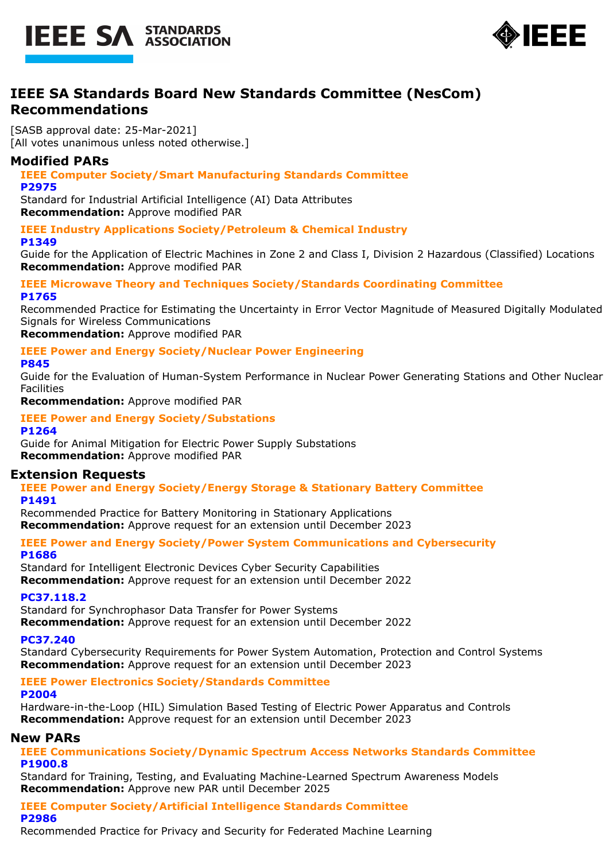



# **IEEE SA Standards Board New Standards Committee (NesCom) Recommendations**

[SASB approval date: 25-Mar-2021] [All votes unanimous unless noted otherwise.]

## **Modified PARs**

**IEEE Computer Society/Smart Manufacturing Standards Committee P2975**

Standard for Industrial Artificial Intelligence (AI) Data Attributes **Recommendation:** Approve modified PAR

**IEEE Industry Applications Society/Petroleum & Chemical Industry P1349**

Guide for the Application of Electric Machines in Zone 2 and Class I, Division 2 Hazardous (Classified) Locations **Recommendation:** Approve modified PAR

## **IEEE Microwave Theory and Techniques Society/Standards Coordinating Committee P1765**

Recommended Practice for Estimating the Uncertainty in Error Vector Magnitude of Measured Digitally Modulated Signals for Wireless Communications

**Recommendation:** Approve modified PAR

# **IEEE Power and Energy Society/Nuclear Power Engineering**

## **P845**

Guide for the Evaluation of Human-System Performance in Nuclear Power Generating Stations and Other Nuclear Facilities

**Recommendation:** Approve modified PAR

#### **IEEE Power and Energy Society/Substations P1264**

Guide for Animal Mitigation for Electric Power Supply Substations **Recommendation:** Approve modified PAR

## **Extension Requests**

**IEEE Power and Energy Society/Energy Storage & Stationary Battery Committee P1491**

Recommended Practice for Battery Monitoring in Stationary Applications **Recommendation:** Approve request for an extension until December 2023

## **IEEE Power and Energy Society/Power System Communications and Cybersecurity P1686**

Standard for Intelligent Electronic Devices Cyber Security Capabilities **Recommendation:** Approve request for an extension until December 2022

## **PC37.118.2**

Standard for Synchrophasor Data Transfer for Power Systems

**Recommendation:** Approve request for an extension until December 2022

## **PC37.240**

Standard Cybersecurity Requirements for Power System Automation, Protection and Control Systems **Recommendation:** Approve request for an extension until December 2023

# **IEEE Power Electronics Society/Standards Committee**

#### **P2004**

Hardware-in-the-Loop (HIL) Simulation Based Testing of Electric Power Apparatus and Controls **Recommendation:** Approve request for an extension until December 2023

## **New PARs**

## **IEEE Communications Society/Dynamic Spectrum Access Networks Standards Committee P1900.8**

Standard for Training, Testing, and Evaluating Machine-Learned Spectrum Awareness Models **Recommendation:** Approve new PAR until December 2025

#### **IEEE Computer Society/Artificial Intelligence Standards Committee P2986**

Recommended Practice for Privacy and Security for Federated Machine Learning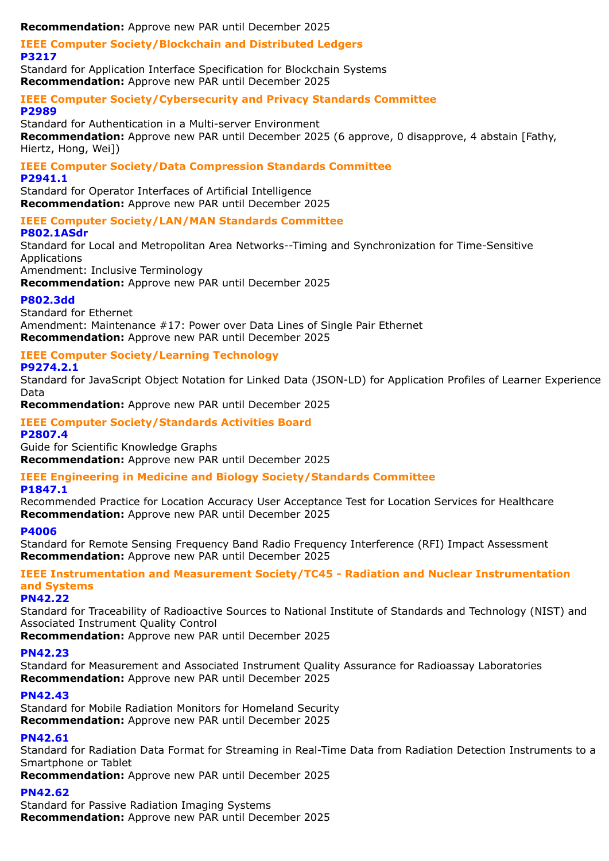**Recommendation:** Approve new PAR until December 2025

#### **IEEE Computer Society/Blockchain and Distributed Ledgers P3217**

Standard for Application Interface Specification for Blockchain Systems **Recommendation:** Approve new PAR until December 2025

#### **IEEE Computer Society/Cybersecurity and Privacy Standards Committee P2989**

Standard for Authentication in a Multi-server Environment **Recommendation:** Approve new PAR until December 2025 (6 approve, 0 disapprove, 4 abstain [Fathy, Hiertz, Hong, Wei])

# **IEEE Computer Society/Data Compression Standards Committee**

**P2941.1**

Standard for Operator Interfaces of Artificial Intelligence **Recommendation:** Approve new PAR until December 2025

## **IEEE Computer Society/LAN/MAN Standards Committee**

## **P802.1ASdr**

Standard for Local and Metropolitan Area Networks--Timing and Synchronization for Time-Sensitive Applications

Amendment: Inclusive Terminology

**Recommendation:** Approve new PAR until December 2025

## **P802.3dd**

Standard for Ethernet Amendment: Maintenance #17: Power over Data Lines of Single Pair Ethernet **Recommendation:** Approve new PAR until December 2025

## **IEEE Computer Society/Learning Technology**

## **P9274.2.1**

Standard for JavaScript Object Notation for Linked Data (JSON-LD) for Application Profiles of Learner Experience Data

**Recommendation:** Approve new PAR until December 2025

## **IEEE Computer Society/Standards Activities Board P2807.4**

Guide for Scientific Knowledge Graphs **Recommendation:** Approve new PAR until December 2025

## **IEEE Engineering in Medicine and Biology Society/Standards Committee**

## **P1847.1**

Recommended Practice for Location Accuracy User Acceptance Test for Location Services for Healthcare **Recommendation:** Approve new PAR until December 2025

## **P4006**

Standard for Remote Sensing Frequency Band Radio Frequency Interference (RFI) Impact Assessment **Recommendation:** Approve new PAR until December 2025

**IEEE Instrumentation and Measurement Society/TC45 - Radiation and Nuclear Instrumentation and Systems**

## **PN42.22**

Standard for Traceability of Radioactive Sources to National Institute of Standards and Technology (NIST) and Associated Instrument Quality Control

**Recommendation:** Approve new PAR until December 2025

## **PN42.23**

Standard for Measurement and Associated Instrument Quality Assurance for Radioassay Laboratories **Recommendation:** Approve new PAR until December 2025

## **PN42.43**

Standard for Mobile Radiation Monitors for Homeland Security **Recommendation:** Approve new PAR until December 2025

## **PN42.61**

Standard for Radiation Data Format for Streaming in Real-Time Data from Radiation Detection Instruments to a Smartphone or Tablet

**Recommendation:** Approve new PAR until December 2025

## **PN42.62**

Standard for Passive Radiation Imaging Systems **Recommendation:** Approve new PAR until December 2025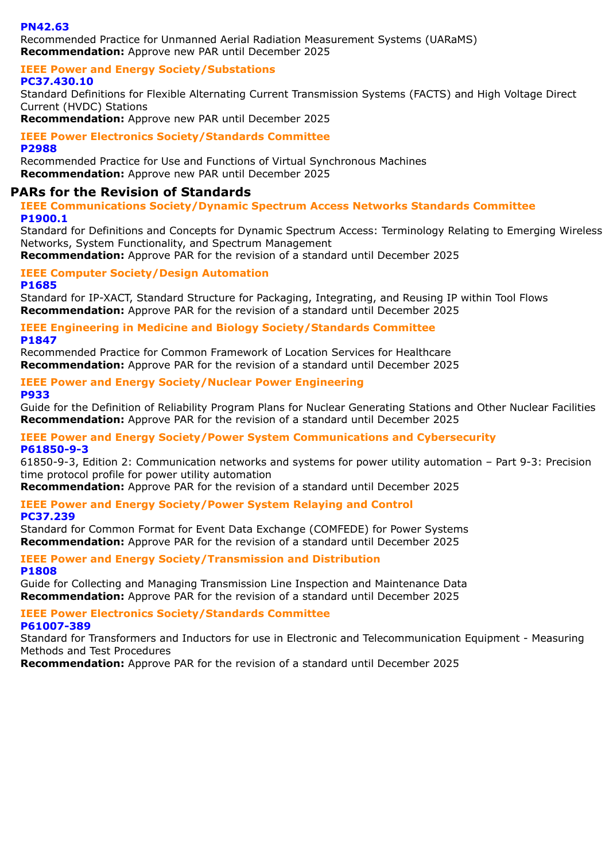## **PN42.63**

Recommended Practice for Unmanned Aerial Radiation Measurement Systems (UARaMS) **Recommendation:** Approve new PAR until December 2025

#### **IEEE Power and Energy Society/Substations PC37.430.10**

Standard Definitions for Flexible Alternating Current Transmission Systems (FACTS) and High Voltage Direct Current (HVDC) Stations

**Recommendation:** Approve new PAR until December 2025

**IEEE Power Electronics Society/Standards Committee**

**P2988**

Recommended Practice for Use and Functions of Virtual Synchronous Machines **Recommendation:** Approve new PAR until December 2025

## **PARs for the Revision of Standards**

**IEEE Communications Society/Dynamic Spectrum Access Networks Standards Committee P1900.1**

Standard for Definitions and Concepts for Dynamic Spectrum Access: Terminology Relating to Emerging Wireless Networks, System Functionality, and Spectrum Management

**Recommendation:** Approve PAR for the revision of a standard until December 2025

#### **IEEE Computer Society/Design Automation P1685**

Standard for IP-XACT, Standard Structure for Packaging, Integrating, and Reusing IP within Tool Flows **Recommendation:** Approve PAR for the revision of a standard until December 2025

## **IEEE Engineering in Medicine and Biology Society/Standards Committee P1847**

Recommended Practice for Common Framework of Location Services for Healthcare **Recommendation:** Approve PAR for the revision of a standard until December 2025

# **IEEE Power and Energy Society/Nuclear Power Engineering**

**P933**

Guide for the Definition of Reliability Program Plans for Nuclear Generating Stations and Other Nuclear Facilities **Recommendation:** Approve PAR for the revision of a standard until December 2025

#### **IEEE Power and Energy Society/Power System Communications and Cybersecurity P61850-9-3**

61850-9-3, Edition 2: Communication networks and systems for power utility automation – Part 9-3: Precision time protocol profile for power utility automation

**Recommendation:** Approve PAR for the revision of a standard until December 2025

#### **IEEE Power and Energy Society/Power System Relaying and Control PC37.239**

Standard for Common Format for Event Data Exchange (COMFEDE) for Power Systems **Recommendation:** Approve PAR for the revision of a standard until December 2025

## **IEEE Power and Energy Society/Transmission and Distribution P1808**

Guide for Collecting and Managing Transmission Line Inspection and Maintenance Data **Recommendation:** Approve PAR for the revision of a standard until December 2025

# **IEEE Power Electronics Society/Standards Committee**

## **P61007-389**

Standard for Transformers and Inductors for use in Electronic and Telecommunication Equipment - Measuring Methods and Test Procedures

**Recommendation:** Approve PAR for the revision of a standard until December 2025